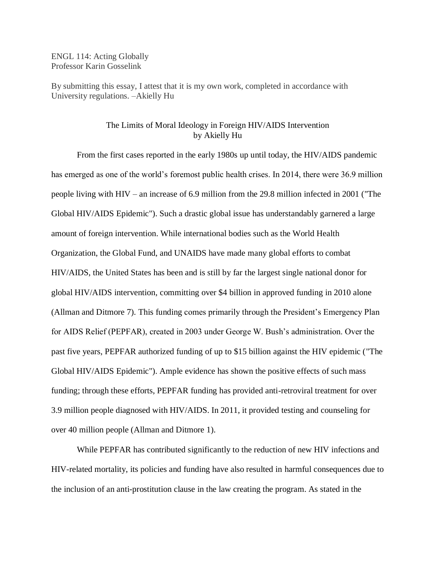ENGL 114: Acting Globally Professor Karin Gosselink

By submitting this essay, I attest that it is my own work, completed in accordance with University regulations. –Akielly Hu

## The Limits of Moral Ideology in Foreign HIV/AIDS Intervention by Akielly Hu

From the first cases reported in the early 1980s up until today, the HIV/AIDS pandemic has emerged as one of the world's foremost public health crises. In 2014, there were 36.9 million people living with HIV – an increase of 6.9 million from the 29.8 million infected in 2001 ("The Global HIV/AIDS Epidemic"). Such a drastic global issue has understandably garnered a large amount of foreign intervention. While international bodies such as the World Health Organization, the Global Fund, and UNAIDS have made many global efforts to combat HIV/AIDS, the United States has been and is still by far the largest single national donor for global HIV/AIDS intervention, committing over \$4 billion in approved funding in 2010 alone (Allman and Ditmore 7). This funding comes primarily through the President's Emergency Plan for AIDS Relief (PEPFAR), created in 2003 under George W. Bush's administration. Over the past five years, PEPFAR authorized funding of up to \$15 billion against the HIV epidemic ("The Global HIV/AIDS Epidemic"). Ample evidence has shown the positive effects of such mass funding; through these efforts, PEPFAR funding has provided anti-retroviral treatment for over 3.9 million people diagnosed with HIV/AIDS. In 2011, it provided testing and counseling for over 40 million people (Allman and Ditmore 1).

While PEPFAR has contributed significantly to the reduction of new HIV infections and HIV-related mortality, its policies and funding have also resulted in harmful consequences due to the inclusion of an anti-prostitution clause in the law creating the program. As stated in the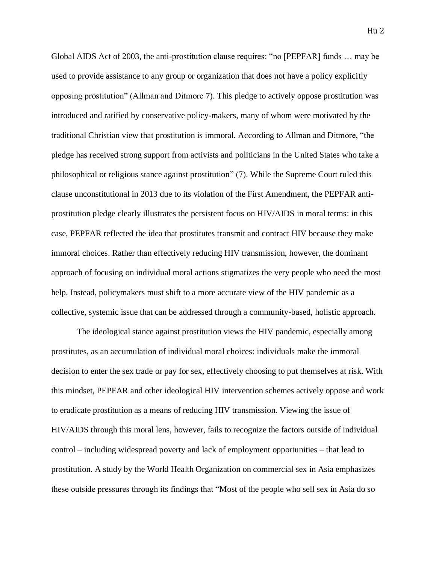Global AIDS Act of 2003, the anti-prostitution clause requires: "no [PEPFAR] funds … may be used to provide assistance to any group or organization that does not have a policy explicitly opposing prostitution" (Allman and Ditmore 7). This pledge to actively oppose prostitution was introduced and ratified by conservative policy-makers, many of whom were motivated by the traditional Christian view that prostitution is immoral. According to Allman and Ditmore, "the pledge has received strong support from activists and politicians in the United States who take a philosophical or religious stance against prostitution" (7). While the Supreme Court ruled this clause unconstitutional in 2013 due to its violation of the First Amendment, the PEPFAR antiprostitution pledge clearly illustrates the persistent focus on HIV/AIDS in moral terms: in this case, PEPFAR reflected the idea that prostitutes transmit and contract HIV because they make immoral choices. Rather than effectively reducing HIV transmission, however, the dominant approach of focusing on individual moral actions stigmatizes the very people who need the most help. Instead, policymakers must shift to a more accurate view of the HIV pandemic as a collective, systemic issue that can be addressed through a community-based, holistic approach.

The ideological stance against prostitution views the HIV pandemic, especially among prostitutes, as an accumulation of individual moral choices: individuals make the immoral decision to enter the sex trade or pay for sex, effectively choosing to put themselves at risk. With this mindset, PEPFAR and other ideological HIV intervention schemes actively oppose and work to eradicate prostitution as a means of reducing HIV transmission. Viewing the issue of HIV/AIDS through this moral lens, however, fails to recognize the factors outside of individual control – including widespread poverty and lack of employment opportunities – that lead to prostitution. A study by the World Health Organization on commercial sex in Asia emphasizes these outside pressures through its findings that "Most of the people who sell sex in Asia do so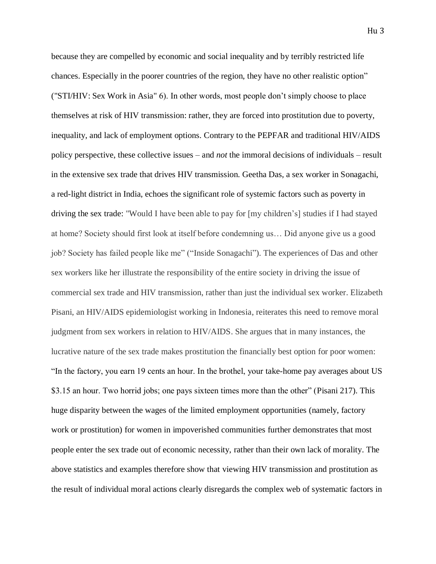because they are compelled by economic and social inequality and by terribly restricted life chances. Especially in the poorer countries of the region, they have no other realistic option" ("STI/HIV: Sex Work in Asia" 6). In other words, most people don't simply choose to place themselves at risk of HIV transmission: rather, they are forced into prostitution due to poverty, inequality, and lack of employment options. Contrary to the PEPFAR and traditional HIV/AIDS policy perspective, these collective issues – and *not* the immoral decisions of individuals – result in the extensive sex trade that drives HIV transmission. Geetha Das, a sex worker in Sonagachi, a red-light district in India, echoes the significant role of systemic factors such as poverty in driving the sex trade: "Would I have been able to pay for [my children's] studies if I had stayed at home? Society should first look at itself before condemning us… Did anyone give us a good job? Society has failed people like me" ("Inside Sonagachi"). The experiences of Das and other sex workers like her illustrate the responsibility of the entire society in driving the issue of commercial sex trade and HIV transmission, rather than just the individual sex worker. Elizabeth Pisani, an HIV/AIDS epidemiologist working in Indonesia, reiterates this need to remove moral judgment from sex workers in relation to HIV/AIDS. She argues that in many instances, the lucrative nature of the sex trade makes prostitution the financially best option for poor women: "In the factory, you earn 19 cents an hour. In the brothel, your take-home pay averages about US \$3.15 an hour. Two horrid jobs; one pays sixteen times more than the other" (Pisani 217). This huge disparity between the wages of the limited employment opportunities (namely, factory work or prostitution) for women in impoverished communities further demonstrates that most people enter the sex trade out of economic necessity, rather than their own lack of morality. The above statistics and examples therefore show that viewing HIV transmission and prostitution as the result of individual moral actions clearly disregards the complex web of systematic factors in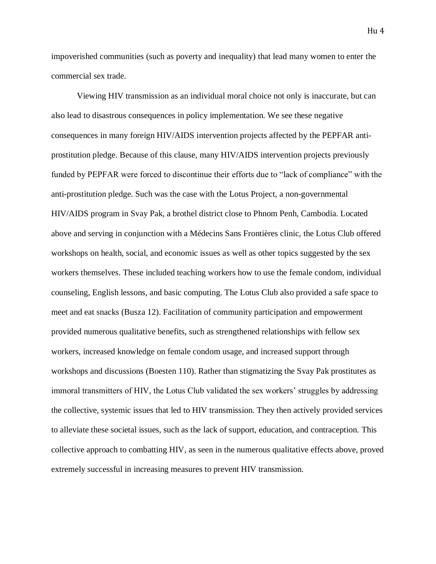impoverished communities (such as poverty and inequality) that lead many women to enter the commercial sex trade.

Viewing HIV transmission as an individual moral choice not only is inaccurate, but can also lead to disastrous consequences in policy implementation. We see these negative consequences in many foreign HIV/AIDS intervention projects affected by the PEPFAR antiprostitution pledge. Because of this clause, many HIV/AIDS intervention projects previously funded by PEPFAR were forced to discontinue their efforts due to "lack of compliance" with the anti-prostitution pledge. Such was the case with the Lotus Project, a non-governmental HIV/AIDS program in Svay Pak, a brothel district close to Phnom Penh, Cambodia. Located above and serving in conjunction with a Médecins Sans Frontières clinic, the Lotus Club offered workshops on health, social, and economic issues as well as other topics suggested by the sex workers themselves. These included teaching workers how to use the female condom, individual counseling, English lessons, and basic computing. The Lotus Club also provided a safe space to meet and eat snacks (Busza 12). Facilitation of community participation and empowerment provided numerous qualitative benefits, such as strengthened relationships with fellow sex workers, increased knowledge on female condom usage, and increased support through workshops and discussions (Boesten 110). Rather than stigmatizing the Svay Pak prostitutes as immoral transmitters of HIV, the Lotus Club validated the sex workers' struggles by addressing the collective, systemic issues that led to HIV transmission. They then actively provided services to alleviate these societal issues, such as the lack of support, education, and contraception. This collective approach to combatting HIV, as seen in the numerous qualitative effects above, proved extremely successful in increasing measures to prevent HIV transmission.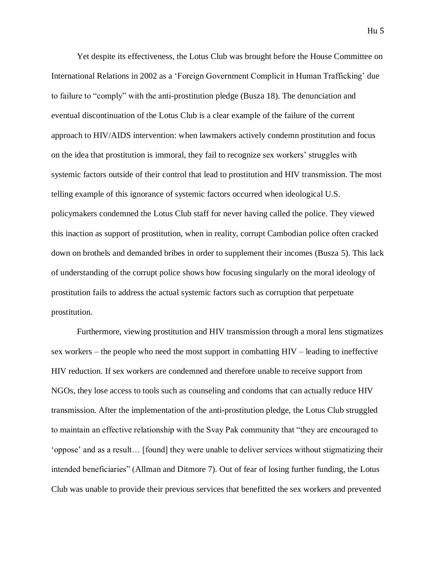Yet despite its effectiveness, the Lotus Club was brought before the House Committee on International Relations in 2002 as a 'Foreign Government Complicit in Human Trafficking' due to failure to "comply" with the anti-prostitution pledge (Busza 18). The denunciation and eventual discontinuation of the Lotus Club is a clear example of the failure of the current approach to HIV/AIDS intervention: when lawmakers actively condemn prostitution and focus on the idea that prostitution is immoral, they fail to recognize sex workers' struggles with systemic factors outside of their control that lead to prostitution and HIV transmission. The most telling example of this ignorance of systemic factors occurred when ideological U.S. policymakers condemned the Lotus Club staff for never having called the police. They viewed this inaction as support of prostitution, when in reality, corrupt Cambodian police often cracked down on brothels and demanded bribes in order to supplement their incomes (Busza 5). This lack of understanding of the corrupt police shows how focusing singularly on the moral ideology of prostitution fails to address the actual systemic factors such as corruption that perpetuate prostitution.

Furthermore, viewing prostitution and HIV transmission through a moral lens stigmatizes sex workers – the people who need the most support in combatting HIV – leading to ineffective HIV reduction. If sex workers are condemned and therefore unable to receive support from NGOs, they lose access to tools such as counseling and condoms that can actually reduce HIV transmission. After the implementation of the anti-prostitution pledge, the Lotus Club struggled to maintain an effective relationship with the Svay Pak community that "they are encouraged to 'oppose' and as a result… [found] they were unable to deliver services without stigmatizing their intended beneficiaries" (Allman and Ditmore 7). Out of fear of losing further funding, the Lotus Club was unable to provide their previous services that benefitted the sex workers and prevented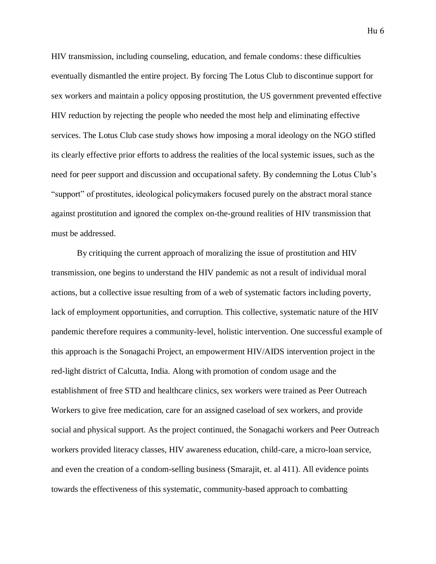HIV transmission, including counseling, education, and female condoms: these difficulties eventually dismantled the entire project. By forcing The Lotus Club to discontinue support for sex workers and maintain a policy opposing prostitution, the US government prevented effective HIV reduction by rejecting the people who needed the most help and eliminating effective services. The Lotus Club case study shows how imposing a moral ideology on the NGO stifled its clearly effective prior efforts to address the realities of the local systemic issues, such as the need for peer support and discussion and occupational safety. By condemning the Lotus Club's "support" of prostitutes, ideological policymakers focused purely on the abstract moral stance against prostitution and ignored the complex on-the-ground realities of HIV transmission that must be addressed.

By critiquing the current approach of moralizing the issue of prostitution and HIV transmission, one begins to understand the HIV pandemic as not a result of individual moral actions, but a collective issue resulting from of a web of systematic factors including poverty, lack of employment opportunities, and corruption. This collective, systematic nature of the HIV pandemic therefore requires a community-level, holistic intervention. One successful example of this approach is the Sonagachi Project, an empowerment HIV/AIDS intervention project in the red-light district of Calcutta, India. Along with promotion of condom usage and the establishment of free STD and healthcare clinics, sex workers were trained as Peer Outreach Workers to give free medication, care for an assigned caseload of sex workers, and provide social and physical support. As the project continued, the Sonagachi workers and Peer Outreach workers provided literacy classes, HIV awareness education, child-care, a micro-loan service, and even the creation of a condom-selling business (Smarajit, et. al 411). All evidence points towards the effectiveness of this systematic, community-based approach to combatting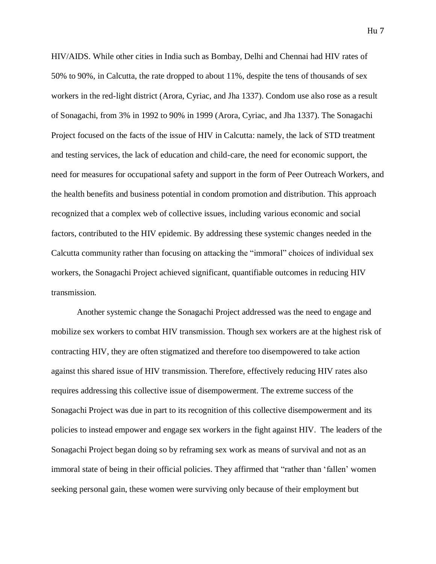HIV/AIDS. While other cities in India such as Bombay, Delhi and Chennai had HIV rates of 50% to 90%, in Calcutta, the rate dropped to about 11%, despite the tens of thousands of sex workers in the red-light district (Arora, Cyriac, and Jha 1337). Condom use also rose as a result of Sonagachi, from 3% in 1992 to 90% in 1999 (Arora, Cyriac, and Jha 1337). The Sonagachi Project focused on the facts of the issue of HIV in Calcutta: namely, the lack of STD treatment and testing services, the lack of education and child-care, the need for economic support, the need for measures for occupational safety and support in the form of Peer Outreach Workers, and the health benefits and business potential in condom promotion and distribution. This approach recognized that a complex web of collective issues, including various economic and social factors, contributed to the HIV epidemic. By addressing these systemic changes needed in the Calcutta community rather than focusing on attacking the "immoral" choices of individual sex workers, the Sonagachi Project achieved significant, quantifiable outcomes in reducing HIV transmission.

Another systemic change the Sonagachi Project addressed was the need to engage and mobilize sex workers to combat HIV transmission. Though sex workers are at the highest risk of contracting HIV, they are often stigmatized and therefore too disempowered to take action against this shared issue of HIV transmission. Therefore, effectively reducing HIV rates also requires addressing this collective issue of disempowerment. The extreme success of the Sonagachi Project was due in part to its recognition of this collective disempowerment and its policies to instead empower and engage sex workers in the fight against HIV. The leaders of the Sonagachi Project began doing so by reframing sex work as means of survival and not as an immoral state of being in their official policies. They affirmed that "rather than 'fallen' women seeking personal gain, these women were surviving only because of their employment but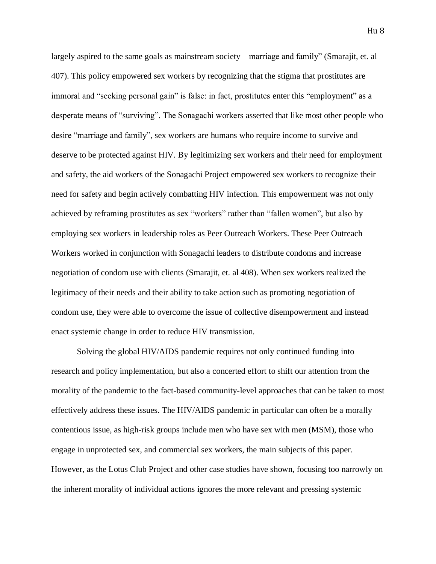largely aspired to the same goals as mainstream society—marriage and family" (Smarajit, et. al 407). This policy empowered sex workers by recognizing that the stigma that prostitutes are immoral and "seeking personal gain" is false: in fact, prostitutes enter this "employment" as a desperate means of "surviving". The Sonagachi workers asserted that like most other people who desire "marriage and family", sex workers are humans who require income to survive and deserve to be protected against HIV. By legitimizing sex workers and their need for employment and safety, the aid workers of the Sonagachi Project empowered sex workers to recognize their need for safety and begin actively combatting HIV infection. This empowerment was not only achieved by reframing prostitutes as sex "workers" rather than "fallen women", but also by employing sex workers in leadership roles as Peer Outreach Workers. These Peer Outreach Workers worked in conjunction with Sonagachi leaders to distribute condoms and increase negotiation of condom use with clients (Smarajit, et. al 408). When sex workers realized the legitimacy of their needs and their ability to take action such as promoting negotiation of condom use, they were able to overcome the issue of collective disempowerment and instead enact systemic change in order to reduce HIV transmission.

Solving the global HIV/AIDS pandemic requires not only continued funding into research and policy implementation, but also a concerted effort to shift our attention from the morality of the pandemic to the fact-based community-level approaches that can be taken to most effectively address these issues. The HIV/AIDS pandemic in particular can often be a morally contentious issue, as high-risk groups include men who have sex with men (MSM), those who engage in unprotected sex, and commercial sex workers, the main subjects of this paper. However, as the Lotus Club Project and other case studies have shown, focusing too narrowly on the inherent morality of individual actions ignores the more relevant and pressing systemic